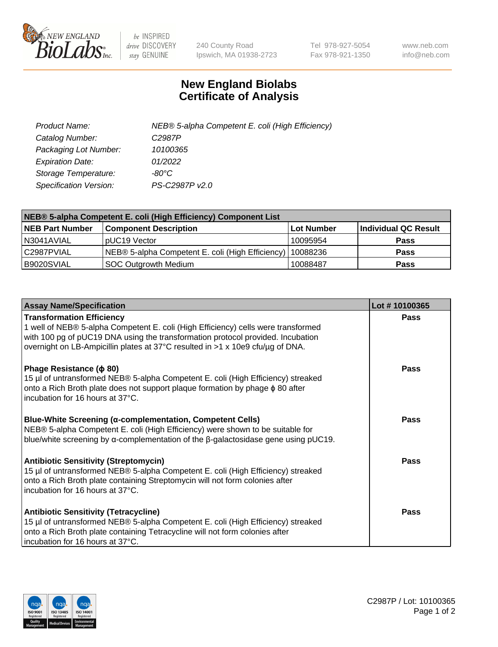

 $be$  INSPIRED drive DISCOVERY stay GENUINE

240 County Road Ipswich, MA 01938-2723 Tel 978-927-5054 Fax 978-921-1350 www.neb.com info@neb.com

## **New England Biolabs Certificate of Analysis**

| Product Name:           | NEB® 5-alpha Competent E. coli (High Efficiency) |
|-------------------------|--------------------------------------------------|
| Catalog Number:         | C <sub>2987</sub> P                              |
| Packaging Lot Number:   | 10100365                                         |
| <b>Expiration Date:</b> | 01/2022                                          |
| Storage Temperature:    | -80°C                                            |
| Specification Version:  | PS-C2987P v2.0                                   |

| NEB® 5-alpha Competent E. coli (High Efficiency) Component List |                                                  |             |                      |  |
|-----------------------------------------------------------------|--------------------------------------------------|-------------|----------------------|--|
| <b>NEB Part Number</b>                                          | <b>Component Description</b>                     | ⊺Lot Number | Individual QC Result |  |
| N3041AVIAL                                                      | pUC19 Vector                                     | 10095954    | <b>Pass</b>          |  |
| C2987PVIAL                                                      | NEB® 5-alpha Competent E. coli (High Efficiency) | 10088236    | <b>Pass</b>          |  |
| B9020SVIAL                                                      | <b>SOC Outgrowth Medium</b>                      | 10088487    | <b>Pass</b>          |  |

| <b>Assay Name/Specification</b>                                                                                                                                                                                                                                                            | Lot #10100365 |
|--------------------------------------------------------------------------------------------------------------------------------------------------------------------------------------------------------------------------------------------------------------------------------------------|---------------|
| <b>Transformation Efficiency</b><br>1 well of NEB® 5-alpha Competent E. coli (High Efficiency) cells were transformed<br>with 100 pg of pUC19 DNA using the transformation protocol provided. Incubation<br>overnight on LB-Ampicillin plates at 37°C resulted in >1 x 10e9 cfu/µg of DNA. | <b>Pass</b>   |
| Phage Resistance ( $\phi$ 80)<br>15 µl of untransformed NEB® 5-alpha Competent E. coli (High Efficiency) streaked<br>onto a Rich Broth plate does not support plaque formation by phage $\phi$ 80 after<br>Incubation for 16 hours at 37°C.                                                | Pass          |
| <b>Blue-White Screening (α-complementation, Competent Cells)</b><br>NEB® 5-alpha Competent E. coli (High Efficiency) were shown to be suitable for<br>blue/white screening by $\alpha$ -complementation of the $\beta$ -galactosidase gene using pUC19.                                    | Pass          |
| <b>Antibiotic Sensitivity (Streptomycin)</b><br>15 µl of untransformed NEB® 5-alpha Competent E. coli (High Efficiency) streaked<br>onto a Rich Broth plate containing Streptomycin will not form colonies after<br>incubation for 16 hours at 37°C.                                       | <b>Pass</b>   |
| <b>Antibiotic Sensitivity (Tetracycline)</b><br>15 µl of untransformed NEB® 5-alpha Competent E. coli (High Efficiency) streaked<br>onto a Rich Broth plate containing Tetracycline will not form colonies after<br>incubation for 16 hours at 37°C.                                       | Pass          |